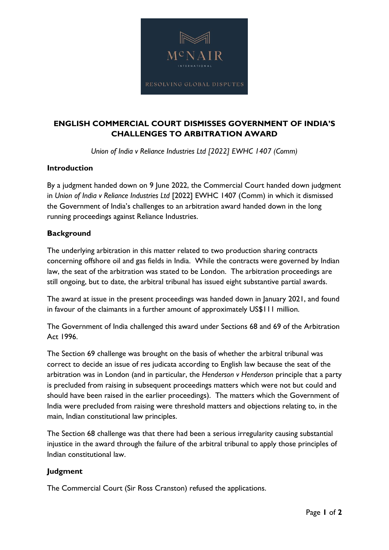

# **ENGLISH COMMERCIAL COURT DISMISSES GOVERNMENT OF INDIA'S CHALLENGES TO ARBITRATION AWARD**

*Union of India v Reliance Industries Ltd [2022] EWHC 1407 (Comm)*

### **Introduction**

By a judgment handed down on 9 June 2022, the Commercial Court handed down judgment in *Union of India v Reliance Industries Ltd* [2022] EWHC 1407 (Comm) in which it dismissed the Government of India's challenges to an arbitration award handed down in the long running proceedings against Reliance Industries.

## **Background**

The underlying arbitration in this matter related to two production sharing contracts concerning offshore oil and gas fields in India. While the contracts were governed by Indian law, the seat of the arbitration was stated to be London. The arbitration proceedings are still ongoing, but to date, the arbitral tribunal has issued eight substantive partial awards.

The award at issue in the present proceedings was handed down in January 2021, and found in favour of the claimants in a further amount of approximately US\$111 million.

The Government of India challenged this award under Sections 68 and 69 of the Arbitration Act 1996.

The Section 69 challenge was brought on the basis of whether the arbitral tribunal was correct to decide an issue of res judicata according to English law because the seat of the arbitration was in London (and in particular, the *Henderson v Henderson* principle that a party is precluded from raising in subsequent proceedings matters which were not but could and should have been raised in the earlier proceedings). The matters which the Government of India were precluded from raising were threshold matters and objections relating to, in the main, Indian constitutional law principles.

The Section 68 challenge was that there had been a serious irregularity causing substantial injustice in the award through the failure of the arbitral tribunal to apply those principles of Indian constitutional law.

# **Judgment**

The Commercial Court (Sir Ross Cranston) refused the applications.